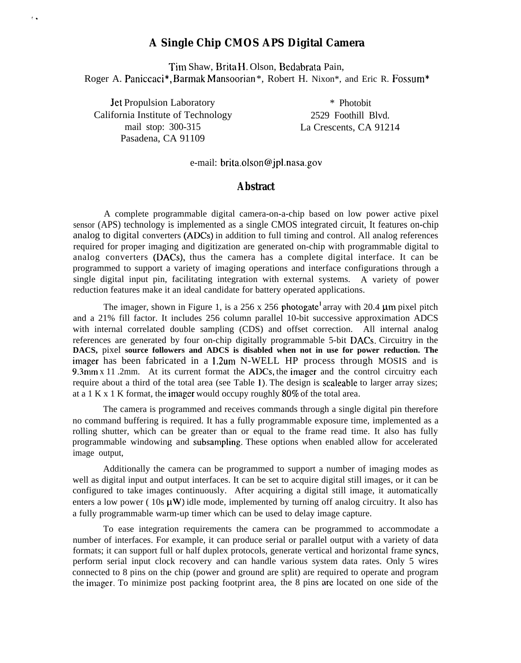## **A Single Chip CMOS APS Digital Camera**

Tim Shaw, Brita 11. Olson, Bedabrata Pain, Roger A. Paniccaci\*, Barmak Mansoorian\*, Robert H. Nixon\*, and Eric R. Fossum\*

Jet Propulsion Laboratory \* Photobit California Institute of Technology 2529 Foothill Blvd. mail stop: 300-315 La Crescents, CA 91214 Pasadena, CA 91109

(.

e-mail: brita.olson @jpl.nasa.gov

## **Abstract**

A complete programmable digital camera-on-a-chip based on low power active pixel sensor (APS) technology is implemented as a single CMOS integrated circuit, It features on-chip analog to digital converters (ADCS) in addition to full timing and control. All analog references required for proper imaging and digitization are generated on-chip with programmable digital to analog converters (DACS), thus the camera has a complete digital interface. It can be programmed to support a variety of imaging operations and interface configurations through a single digital input pin, facilitating integration with external systems. A variety of power reduction features make it an ideal candidate for battery operated applications.

The imager, shown in Figure 1, is a 256 x 256 photogate<sup>1</sup> array with 20.4  $\mu$ m pixel pitch and a 21% fill factor. It includes 256 column parallel 10-bit successive approximation ADCS with internal correlated double sampling (CDS) and offset correction. All internal analog references are generated by four on-chip digitally programmable 5-bit DACS. Circuitry in the **DACS,** pixel **source followers and ADCS is disabled when not in use for power reduction. The** imager has been fabricated in a 1.2um N-WELL HP process through MOSIS and is 9.3mm  $x$  11 .2mm. At its current format the ADCs, the imager and the control circuitry each require about a third of the total area (see Table 1). The design is scaleable to larger array sizes; at a 1 K x 1 K format, the imager would occupy roughly  $80\%$  of the total area.

The camera is programmed and receives commands through a single digital pin therefore no command buffering is required. It has a fully programmable exposure time, implemented as a rolling shutter, which can be greater than or equal to the frame read time. It also has fully programmable windowing and subsampling. These options when enabled allow for accelerated image output,

Additionally the camera can be programmed to support a number of imaging modes as well as digital input and output interfaces. It can be set to acquire digital still images, or it can be configured to take images continuously. After acquiring a digital still image, it automatically enters a low power (10s  $\mu$ W) idle mode, implemented by turning off analog circuitry. It also has a fully programmable warm-up timer which can be used to delay image capture.

To ease integration requirements the camera can be programmed to accommodate a number of interfaces. For example, it can produce serial or parallel output with a variety of data formats; it can support full or half duplex protocols, generate vertical and horizontal frame syncs, perform serial input clock recovery and can handle various system data rates. Only 5 wires connected to 8 pins on the chip (power and ground are split) are required to operate and program the imager. To minimize post packing footprint area, the 8 pins are located on one side of the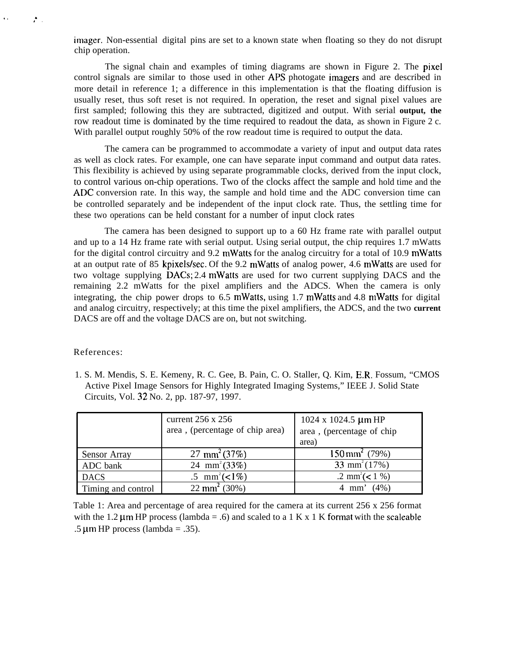imager. Non-essential digital pins are set to a known state when floating so they do not disrupt chip operation.

The signal chain and examples of timing diagrams are shown in Figure 2. The pixel control signals are similar to those used in other APS photogate imagers and are described in more detail in reference 1; a difference in this implementation is that the floating diffusion is usually reset, thus soft reset is not required. In operation, the reset and signal pixel values are first sampled; following this they are subtracted, digitized and output. With serial **output, the** row readout time is dominated by the time required to readout the data, as shown in Figure 2 c. With parallel output roughly 50% of the row readout time is required to output the data.

The camera can be programmed to accommodate a variety of input and output data rates as well as clock rates. For example, one can have separate input command and output data rates. This flexibility is achieved by using separate programmable clocks, derived from the input clock, to control various on-chip operations. Two of the clocks affect the sample and hold time and the ADC conversion rate. In this way, the sample and hold time and the ADC conversion time can be controlled separately and be independent of the input clock rate. Thus, the settling time for these two operations can be held constant for a number of input clock rates

The camera has been designed to support up to a 60 Hz frame rate with parallel output and up to a 14 Hz frame rate with serial output. Using serial output, the chip requires 1.7 mWatts for the digital control circuitry and 9.2 mWatts for the analog circuitry for a total of 10.9 mWatts at an output rate of 85 kpixels/sec. Of the 9.2 mWatts of analog power, 4.6 mWatts are used for two voltage supplying DACS; 2.4 mWatts are used for two current supplying DACS and the remaining 2.2 mWatts for the pixel amplifiers and the ADCS. When the camera is only integrating, the chip power drops to 6.5 mWatts, using 1.7 mWatts and 4.8 mWatts for digital and analog circuitry, respectively; at this time the pixel amplifiers, the ADCS, and the two **current** DACS are off and the voltage DACS are on, but not switching.

## References:

,. .

,<br>,

1. S. M. Mendis, S. E. Kemeny, R. C. Gee, B. Pain, C. O. Staller, Q. Kim, E.R. Fossum, "CMOS Active Pixel Image Sensors for Highly Integrated Imaging Systems," IEEE J. Solid State Circuits, Vol. 32 No. 2, pp. 187-97, 1997.

|                    | current $256 \times 256$<br>area, (percentage of chip area) | 1024 x 1024.5 $\mu$ m HP<br>area, (percentage of chip<br>area) |
|--------------------|-------------------------------------------------------------|----------------------------------------------------------------|
| Sensor Array       | 27 mm <sup>2</sup> (37%)                                    | $150 \text{ mm}^2$ (79%)                                       |
| ADC bank           | 24 mm <sup>2</sup> (33%)                                    | 33 mm <sup>2</sup> $(17%)$                                     |
| <b>DACS</b>        | .5 mm <sup>2</sup> (<1\%)                                   | .2 mm <sup>2</sup> (<1 %)                                      |
| Timing and control | 22 mm <sup>2</sup> (30%)                                    | $(4\%)$<br>$4 \text{ mm}$                                      |

Table 1: Area and percentage of area required for the camera at its current 256 x 256 format with the 1.2  $\mu$ m HP process (lambda = .6) and scaled to a 1 K x 1 K format with the scaleable .5  $\mu$ m HP process (lambda = .35).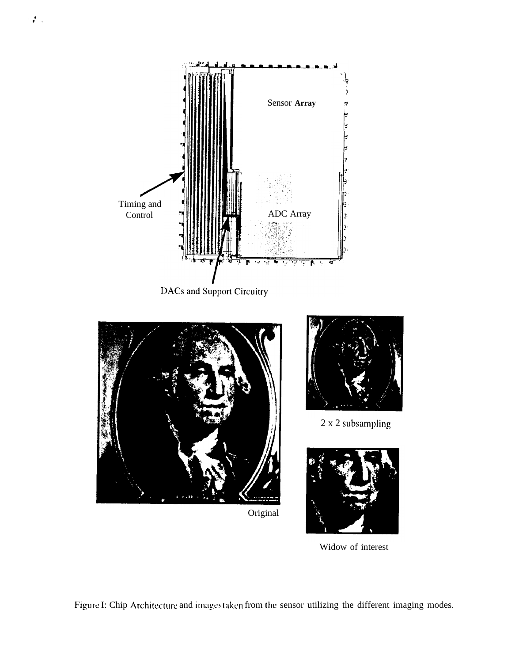



Original



2 x 2 subsampling



Widow of interest

Figure I: Chip Architecture and imagestaken from the sensor utilizing the different imaging modes.